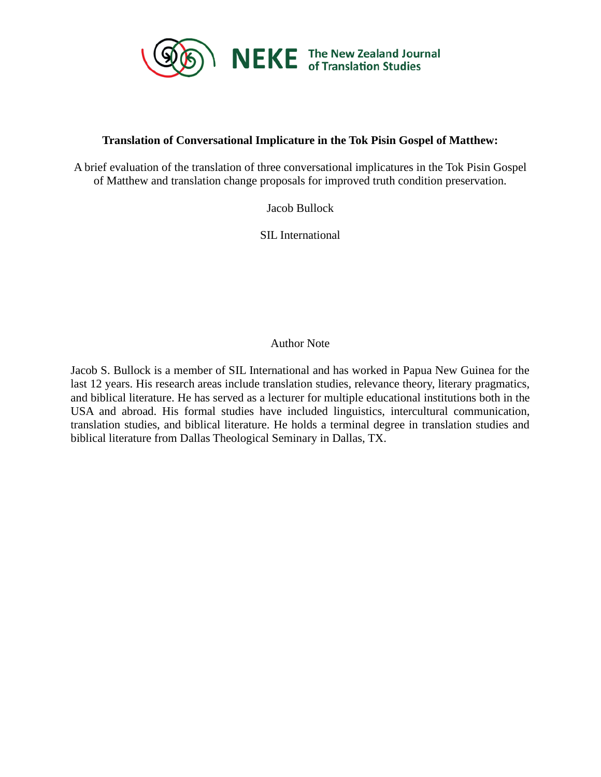

# **Translation of Conversational Implicature in the Tok Pisin Gospel of Matthew:**

A brief evaluation of the translation of three conversational implicatures in the Tok Pisin Gospel of Matthew and translation change proposals for improved truth condition preservation.

Jacob Bullock

SIL International

# Author Note

Jacob S. Bullock is a member of SIL International and has worked in Papua New Guinea for the last 12 years. His research areas include translation studies, relevance theory, literary pragmatics, and biblical literature. He has served as a lecturer for multiple educational institutions both in the USA and abroad. His formal studies have included linguistics, intercultural communication, translation studies, and biblical literature. He holds a terminal degree in translation studies and biblical literature from Dallas Theological Seminary in Dallas, TX.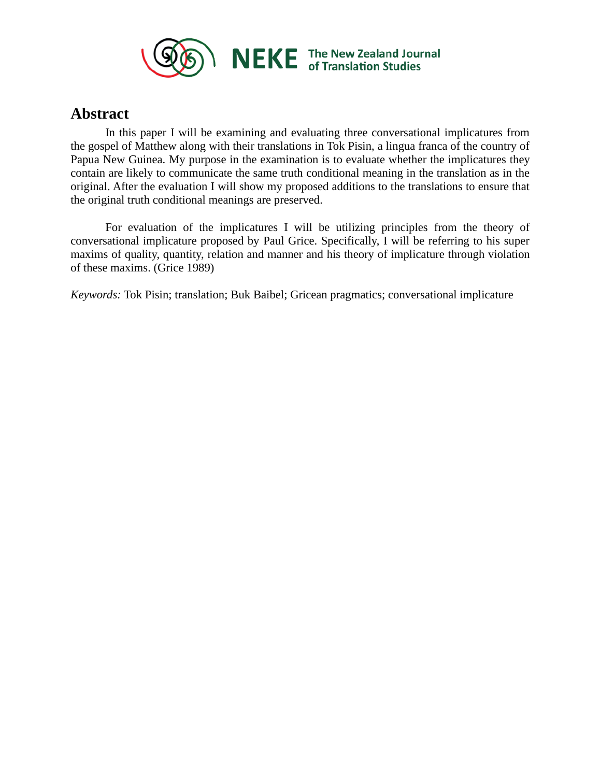

# **Abstract**

In this paper I will be examining and evaluating three conversational implicatures from the gospel of Matthew along with their translations in Tok Pisin, a lingua franca of the country of Papua New Guinea. My purpose in the examination is to evaluate whether the implicatures they contain are likely to communicate the same truth conditional meaning in the translation as in the original. After the evaluation I will show my proposed additions to the translations to ensure that the original truth conditional meanings are preserved.

For evaluation of the implicatures I will be utilizing principles from the theory of conversational implicature proposed by Paul Grice. Specifically, I will be referring to his super maxims of quality, quantity, relation and manner and his theory of implicature through violation of these maxims. (Grice 1989)

*Keywords:* Tok Pisin; translation; Buk Baibel; Gricean pragmatics; conversational implicature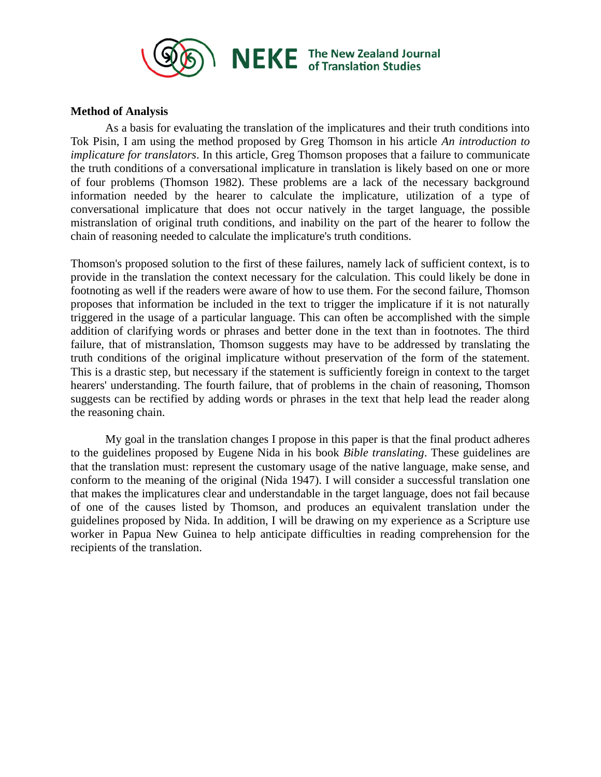

#### **Method of Analysis**

As a basis for evaluating the translation of the implicatures and their truth conditions into Tok Pisin, I am using the method proposed by Greg Thomson in his article *An introduction to implicature for translators*. In this article, Greg Thomson proposes that a failure to communicate the truth conditions of a conversational implicature in translation is likely based on one or more of four problems (Thomson 1982). These problems are a lack of the necessary background information needed by the hearer to calculate the implicature, utilization of a type of conversational implicature that does not occur natively in the target language, the possible mistranslation of original truth conditions, and inability on the part of the hearer to follow the chain of reasoning needed to calculate the implicature's truth conditions.

Thomson's proposed solution to the first of these failures, namely lack of sufficient context, is to provide in the translation the context necessary for the calculation. This could likely be done in footnoting as well if the readers were aware of how to use them. For the second failure, Thomson proposes that information be included in the text to trigger the implicature if it is not naturally triggered in the usage of a particular language. This can often be accomplished with the simple addition of clarifying words or phrases and better done in the text than in footnotes. The third failure, that of mistranslation, Thomson suggests may have to be addressed by translating the truth conditions of the original implicature without preservation of the form of the statement. This is a drastic step, but necessary if the statement is sufficiently foreign in context to the target hearers' understanding. The fourth failure, that of problems in the chain of reasoning, Thomson suggests can be rectified by adding words or phrases in the text that help lead the reader along the reasoning chain.

My goal in the translation changes I propose in this paper is that the final product adheres to the guidelines proposed by Eugene Nida in his book *Bible translating*. These guidelines are that the translation must: represent the customary usage of the native language, make sense, and conform to the meaning of the original (Nida 1947). I will consider a successful translation one that makes the implicatures clear and understandable in the target language, does not fail because of one of the causes listed by Thomson, and produces an equivalent translation under the guidelines proposed by Nida. In addition, I will be drawing on my experience as a Scripture use worker in Papua New Guinea to help anticipate difficulties in reading comprehension for the recipients of the translation.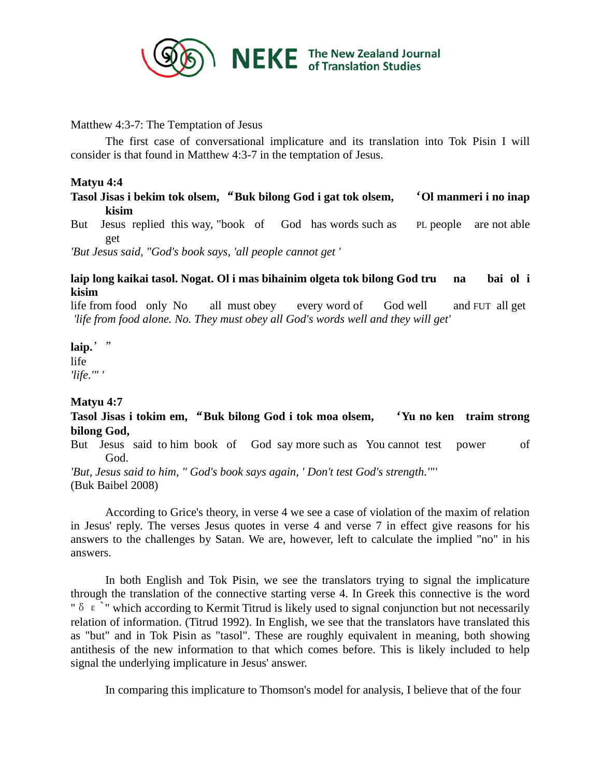

Matthew 4:3-7: The Temptation of Jesus

The first case of conversational implicature and its translation into Tok Pisin I will consider is that found in Matthew 4:3-7 in the temptation of Jesus.

#### **Matyu 4:4**

- **Tasol Jisas i bekim tok olsem,** "**Buk bilong God i gat tok olsem,** '**Ol manmeri i no inap kisim**
- But Jesus replied this way, "book of God has words such as PL people are not able get

*'But Jesus said, "God's book says, 'all people cannot get '*

### **laip long kaikai tasol. Nogat. Ol i mas bihainim olgeta tok bilong God tru na bai ol i kisim**

life from food only No all must obey every word of God well and FUT all get *'life from food alone. No. They must obey all God's words well and they will get'*

laip.'" life *'life.'" '*

#### **Matyu 4:7**

# **Tasol Jisas i tokim em,** "**Buk bilong God i tok moa olsem,** '**Yu no ken traim strong bilong God,**

But Jesus said to him book of God say more such as You cannot test power of God.

*'But, Jesus said to him, " God's book says again, ' Don't test God's strength.'"'* (Buk Baibel 2008)

According to Grice's theory, in verse 4 we see a case of violation of the maxim of relation in Jesus' reply. The verses Jesus quotes in verse 4 and verse 7 in effect give reasons for his answers to the challenges by Satan. We are, however, left to calculate the implied "no" in his answers.

In both English and Tok Pisin, we see the translators trying to signal the implicature through the translation of the connective starting verse 4. In Greek this connective is the word "  $\delta \epsilon$ <sup>"</sup> which according to Kermit Titrud is likely used to signal conjunction but not necessarily relation of information. (Titrud 1992). In English, we see that the translators have translated this as "but" and in Tok Pisin as "tasol". These are roughly equivalent in meaning, both showing antithesis of the new information to that which comes before. This is likely included to help signal the underlying implicature in Jesus' answer.

In comparing this implicature to Thomson's model for analysis, I believe that of the four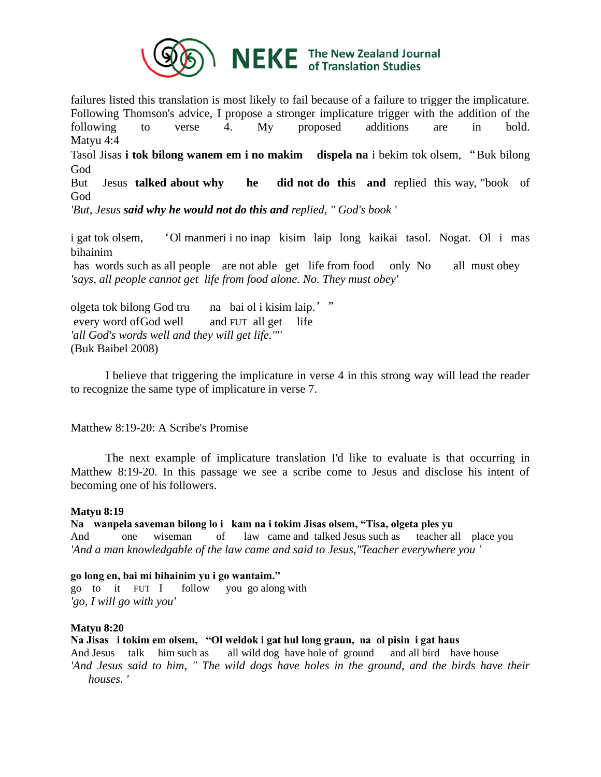

failures listed this translation is most likely to fail because of a failure to trigger the implicature. Following Thomson's advice, I propose a stronger implicature trigger with the addition of the following to verse 4. My proposed additions are in bold. Matyu 4:4

Tasol Jisas **i tok bilong wanem em i no makim dispela na** i bekim tok olsem, "Buk bilong God

But Jesus **talked about why he did not do this and** replied this way, "book of God

*'But, Jesus said why he would not do this and replied, " God's book '*

i gat tok olsem, 'Ol manmeri i no inap kisim laip long kaikai tasol. Nogat. Ol i mas bihainim

has words such as all people are not able get life from food only No all must obey *'says, all people cannot get life from food alone. No. They must obey'*

olgeta tok bilong God tru na bai ol i kisim laip.'" every word ofGod well and FUT all get life *'all God's words well and they will get life.'"'* (Buk Baibel 2008)

I believe that triggering the implicature in verse 4 in this strong way will lead the reader to recognize the same type of implicature in verse 7.

Matthew 8:19-20: A Scribe's Promise

The next example of implicature translation I'd like to evaluate is that occurring in Matthew 8:19-20. In this passage we see a scribe come to Jesus and disclose his intent of becoming one of his followers.

#### **Matyu 8:19**

**Na wanpela saveman bilong lo i kam na i tokim Jisas olsem, "Tisa, olgeta ples yu**  And one wiseman of law came and talked Jesus such as teacher all place you *'And a man knowledgable of the law came and said to Jesus,"Teacher everywhere you '*

**go long en, bai mi bihainim yu i go wantaim."**  go to it FUT I follow you go along with *'go, I will go with you'*

#### **Matyu 8:20**

**Na Jisas i tokim em olsem, "Ol weldok i gat hul long graun, na ol pisin i gat haus**  And Jesus talk him such as all wild dog have hole of ground and all bird have house *'And Jesus said to him, " The wild dogs have holes in the ground, and the birds have their houses. '*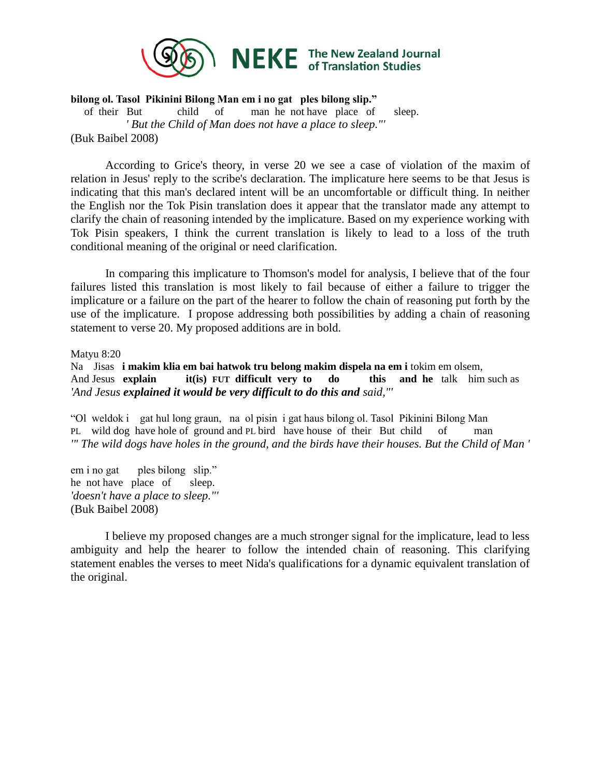

#### **bilong ol. Tasol Pikinini Bilong Man em i no gat ples bilong slip."**

 of their But child of man he not have place of sleep.  *' But the Child of Man does not have a place to sleep."'*

(Buk Baibel 2008)

According to Grice's theory, in verse 20 we see a case of violation of the maxim of relation in Jesus' reply to the scribe's declaration. The implicature here seems to be that Jesus is indicating that this man's declared intent will be an uncomfortable or difficult thing. In neither the English nor the Tok Pisin translation does it appear that the translator made any attempt to clarify the chain of reasoning intended by the implicature. Based on my experience working with Tok Pisin speakers, I think the current translation is likely to lead to a loss of the truth conditional meaning of the original or need clarification.

In comparing this implicature to Thomson's model for analysis, I believe that of the four failures listed this translation is most likely to fail because of either a failure to trigger the implicature or a failure on the part of the hearer to follow the chain of reasoning put forth by the use of the implicature. I propose addressing both possibilities by adding a chain of reasoning statement to verse 20. My proposed additions are in bold.

#### Matyu 8:20

Na Jisas **i makim klia em bai hatwok tru belong makim dispela na em i** tokim em olsem, And Jesus **explain it(is) FUT difficult very to do this and he** talk him such as *'And Jesus explained it would be very difficult to do this and said,"'*

"Ol weldok i gat hul long graun, na ol pisin i gat haus bilong ol. Tasol Pikinini Bilong Man PL wild dog have hole of ground and PL bird have house of their But child of man *'" The wild dogs have holes in the ground, and the birds have their houses. But the Child of Man '*

em i no gat ples bilong slip." he not have place of sleep. *'doesn't have a place to sleep."'* (Buk Baibel 2008)

I believe my proposed changes are a much stronger signal for the implicature, lead to less ambiguity and help the hearer to follow the intended chain of reasoning. This clarifying statement enables the verses to meet Nida's qualifications for a dynamic equivalent translation of the original.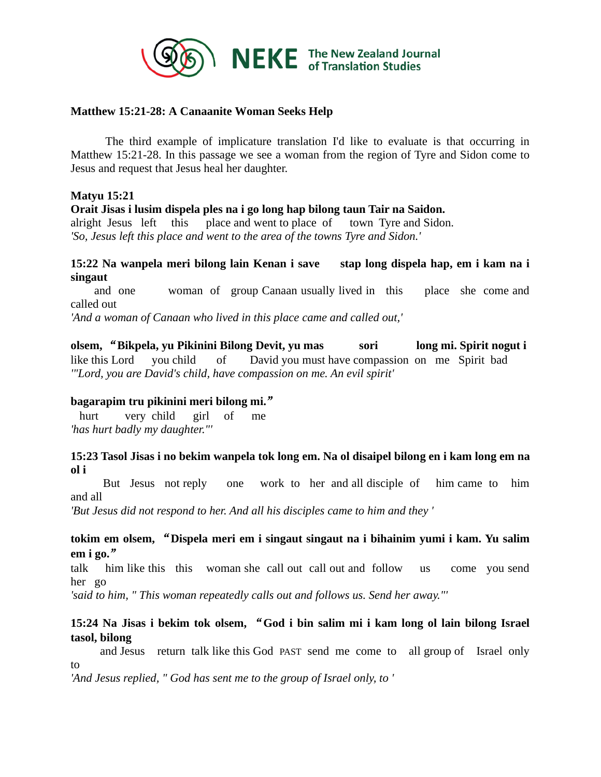

### **Matthew 15:21-28: A Canaanite Woman Seeks Help**

The third example of implicature translation I'd like to evaluate is that occurring in Matthew 15:21-28. In this passage we see a woman from the region of Tyre and Sidon come to Jesus and request that Jesus heal her daughter.

#### **Matyu 15:21**

**Orait Jisas i lusim dispela ples na i go long hap bilong taun Tair na Saidon.** 

alright Jesus left this place and went to place of town Tyre and Sidon. *'So, Jesus left this place and went to the area of the towns Tyre and Sidon.'*

### **15:22 Na wanpela meri bilong lain Kenan i save stap long dispela hap, em i kam na i singaut**

and one woman of group Canaan usually lived in this place she come and called out

*'And a woman of Canaan who lived in this place came and called out,'*

**olsem,** "**Bikpela, yu Pikinini Bilong Devit, yu mas sori long mi. Spirit nogut i**  like this Lord you child of David you must have compassion on me Spirit bad *'"Lord, you are David's child, have compassion on me. An evil spirit'*

# **bagarapim tru pikinini meri bilong mi.**"

 hurt very child girl of me *'has hurt badly my daughter."'*

### **15:23 Tasol Jisas i no bekim wanpela tok long em. Na ol disaipel bilong en i kam long em na ol i**

But Jesus not reply one work to her and all disciple of him came to him and all

*'But Jesus did not respond to her. And all his disciples came to him and they '*

# **tokim em olsem,** "**Dispela meri em i singaut singaut na i bihainim yumi i kam. Yu salim em i go.**"

talk him like this this woman she call out call out and follow us come you send her go

*'said to him, " This woman repeatedly calls out and follows us. Send her away."'*

# **15:24 Na Jisas i bekim tok olsem,** "**God i bin salim mi i kam long ol lain bilong Israel tasol, bilong**

 and Jesus return talk like this God PAST send me come to all group of Israel only to

*'And Jesus replied, " God has sent me to the group of Israel only, to '*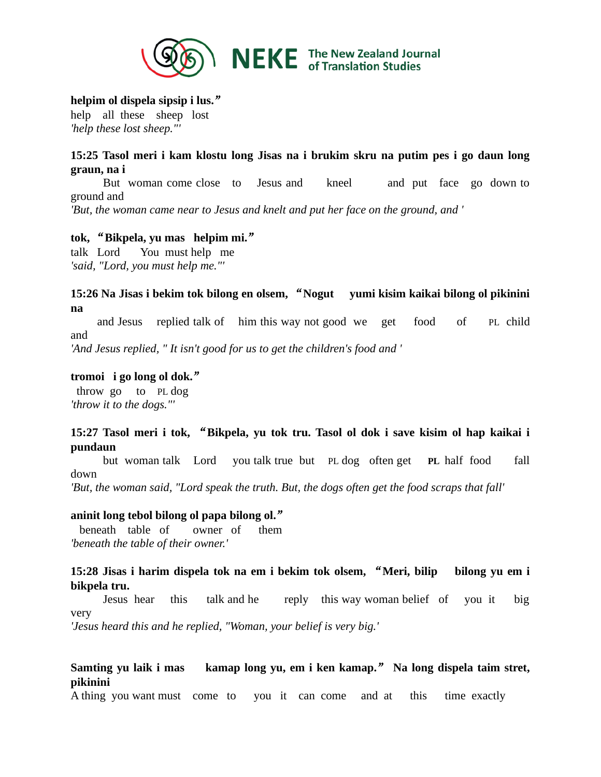

### **helpim ol dispela sipsip i lus.**"

help all these sheep lost *'help these lost sheep."'*

### **15:25 Tasol meri i kam klostu long Jisas na i brukim skru na putim pes i go daun long graun, na i**

But woman come close to Jesus and kneel and put face go down to ground and *'But, the woman came near to Jesus and knelt and put her face on the ground, and '*

# **tok,** "**Bikpela, yu mas helpim mi.**"

talk Lord You must help me *'said, "Lord, you must help me."'*

### **15:26 Na Jisas i bekim tok bilong en olsem,** "**Nogut yumi kisim kaikai bilong ol pikinini na**

and Jesus replied talk of him this way not good we get food of PL child and

*'And Jesus replied, " It isn't good for us to get the children's food and '*

# **tromoi i go long ol dok.**"

throw go to PL dog *'throw it to the dogs."'*

# **15:27 Tasol meri i tok,** "**Bikpela, yu tok tru. Tasol ol dok i save kisim ol hap kaikai i pundaun**

but woman talk Lord you talk true but PL dog often get **PL** half food fall down

*'But, the woman said, "Lord speak the truth. But, the dogs often get the food scraps that fall'*

#### **aninit long tebol bilong ol papa bilong ol.**"

 beneath table of owner of them *'beneath the table of their owner.'*

# **15:28 Jisas i harim dispela tok na em i bekim tok olsem,** "**Meri, bilip bilong yu em i bikpela tru.**

 Jesus hear this talk and he reply this way woman belief of you it big very *'Jesus heard this and he replied, "Woman, your belief is very big.'*

### **Samting yu laik i mas kamap long yu, em i ken kamap.**" **Na long dispela taim stret, pikinini**

A thing you want must come to you it can come and at this time exactly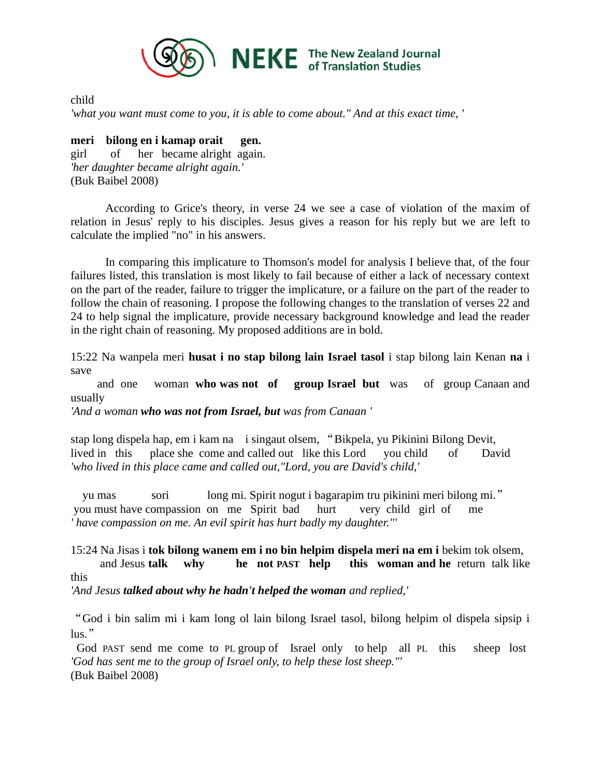

child

*'what you want must come to you, it is able to come about." And at this exact time, '*

**meri bilong en i kamap orait gen.**  girl of her became alright again. *'her daughter became alright again.'* (Buk Baibel 2008)

According to Grice's theory, in verse 24 we see a case of violation of the maxim of relation in Jesus' reply to his disciples. Jesus gives a reason for his reply but we are left to calculate the implied "no" in his answers.

In comparing this implicature to Thomson's model for analysis I believe that, of the four failures listed, this translation is most likely to fail because of either a lack of necessary context on the part of the reader, failure to trigger the implicature, or a failure on the part of the reader to follow the chain of reasoning. I propose the following changes to the translation of verses 22 and 24 to help signal the implicature, provide necessary background knowledge and lead the reader in the right chain of reasoning. My proposed additions are in bold.

15:22 Na wanpela meri **husat i no stap bilong lain Israel tasol** i stap bilong lain Kenan **na** i save

 and one woman **who was not of group Israel but** was of group Canaan and usually

*'And a woman who was not from Israel, but was from Canaan '*

stap long dispela hap, em i kam na i singaut olsem, "Bikpela, yu Pikinini Bilong Devit, lived in this place she come and called out like this Lord you child of David *'who lived in this place came and called out,"Lord, you are David's child,'*

 yu mas sori long mi. Spirit nogut i bagarapim tru pikinini meri bilong mi." you must have compassion on me Spirit bad hurt very child girl of me *' have compassion on me. An evil spirit has hurt badly my daughter."'*

15:24 Na Jisas i **tok bilong wanem em i no bin helpim dispela meri na em i** bekim tok olsem, and Jesus **talk why he not PAST help this woman and he** return talk like this

*'And Jesus talked about why he hadn't helped the woman and replied,'*

"God i bin salim mi i kam long ol lain bilong Israel tasol, bilong helpim ol dispela sipsip i lus."

 God PAST send me come to PL group of Israel only to help all PL this sheep lost *'God has sent me to the group of Israel only, to help these lost sheep."'* (Buk Baibel 2008)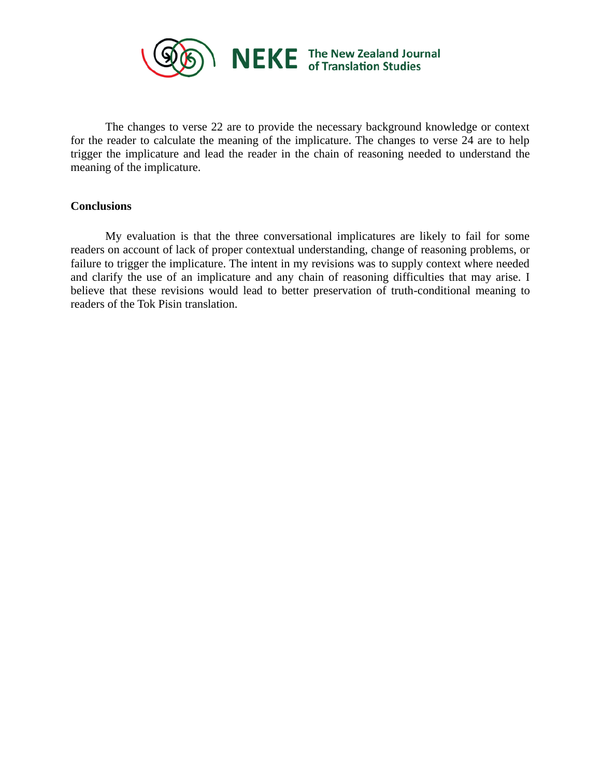

The changes to verse 22 are to provide the necessary background knowledge or context for the reader to calculate the meaning of the implicature. The changes to verse 24 are to help trigger the implicature and lead the reader in the chain of reasoning needed to understand the meaning of the implicature.

#### **Conclusions**

My evaluation is that the three conversational implicatures are likely to fail for some readers on account of lack of proper contextual understanding, change of reasoning problems, or failure to trigger the implicature. The intent in my revisions was to supply context where needed and clarify the use of an implicature and any chain of reasoning difficulties that may arise. I believe that these revisions would lead to better preservation of truth-conditional meaning to readers of the Tok Pisin translation.